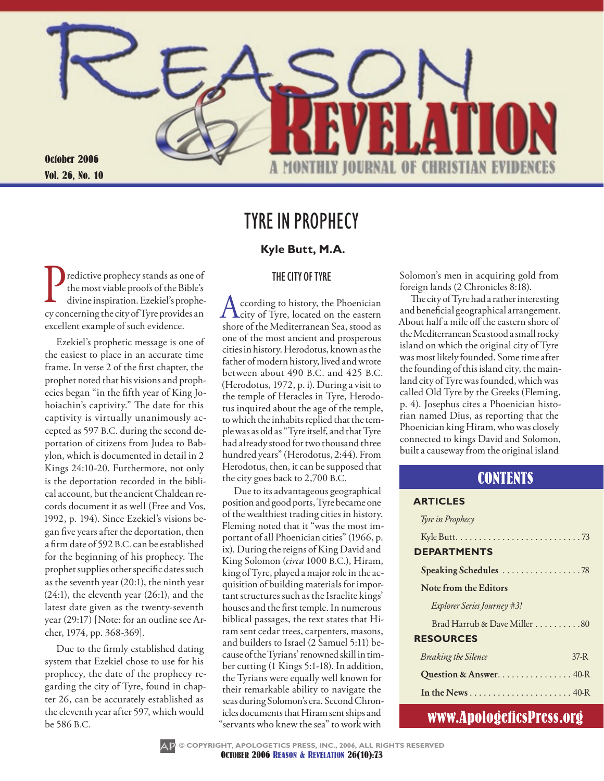

## Tyre in Prophecy

#### **Kyle Butt, M.A.**

#### The City of Tyre

Predictive prophecy stands as one of<br>the most viable proofs of the Bible's<br>divine inspiration. Ezekiel's prophethe most viable proofs of the Bible's divine inspiration. Ezekiel's prophecy concerning the city of Tyre provides an excellent example of such evidence.

Ezekiel's prophetic message is one of the easiest to place in an accurate time frame. In verse 2 of the first chapter, the prophet noted that his visions and prophecies began "in the fifth year of King Johoiachin's captivity." The date for this captivity is virtually unanimously accepted as 597 B.C. during the second deportation of citizens from Judea to Babylon, which is documented in detail in 2 Kings 24:10-20. Furthermore, not only is the deportation recorded in the biblical account, but the ancient Chaldean records document it as well (Free and Vos, 1992, p. 194). Since Ezekiel's visions began five years after the deportation, then a firm date of 592 B.C. can be established for the beginning of his prophecy. The prophet supplies other specific dates such as the seventh year (20:1), the ninth year (24:1), the eleventh year (26:1), and the latest date given as the twenty-seventh year (29:17) [Note: for an outline see Archer, 1974, pp. 368-369].

Due to the firmly established dating system that Ezekiel chose to use for his prophecy, the date of the prophecy regarding the city of Tyre, found in chapter 26, can be accurately established as the eleventh year after 597, which would be 586 B.C.

According to history, the Phoenician<br>city of Tyre, located on the eastern<br>characteristic Mediterranean Second as shore of the Mediterranean Sea, stood as one of the most ancient and prosperous cities in history. Herodotus, known as the father of modern history, lived and wrote between about 490 B.C. and 425 B.C. (Herodotus, 1972, p. i). During a visit to the temple of Heracles in Tyre, Herodotus inquired about the age of the temple, to which the inhabits replied that the temple was as old as "Tyre itself, and that Tyre had already stood for two thousand three hundred years" (Herodotus, 2:44). From Herodotus, then, it can be supposed that the city goes back to 2,700 B.C.

Due to its advantageous geographical position and good ports, Tyre became one of the wealthiest trading cities in history. Fleming noted that it "was the most important of all Phoenician cities" (1966, p. ix). During the reigns of King David and King Solomon (*circa* 1000 B.C.), Hiram, king of Tyre, played a major role in the acquisition of building materials for important structures such as the Israelite kings' houses and the first temple. In numerous biblical passages, the text states that Hiram sent cedar trees, carpenters, masons, and builders to Israel (2 Samuel 5:11) because of the Tyrians' renowned skill in timber cutting (1 Kings 5:1-18). In addition, the Tyrians were equally well known for their remarkable ability to navigate the seas during Solomon's era. Second Chronicles documents that Hiram sent ships and "servants who knew the sea" to work with

Solomon's men in acquiring gold from foreign lands (2 Chronicles 8:18).

The city of Tyre had a rather interesting and beneficial geographical arrangement. About half a mile off the eastern shore of the Mediterranean Sea stood a small rocky island on which the original city of Tyre was most likely founded. Some time after the founding of this island city, the mainland city of Tyre was founded, which was called Old Tyre by the Greeks (Fleming, p. 4). Josephus cites a Phoenician historian named Dius, as reporting that the Phoenician king Hiram, who was closely connected to kings David and Solomon, built a causeway from the original island

### **CONTENTS**

#### **Articles**

| Tyre in Prophecy                                                                 |
|----------------------------------------------------------------------------------|
| Kyle Butt. $\ldots \ldots \ldots \ldots \ldots \ldots \ldots \ldots \ldots$ . 73 |
| <b>DEPARTMENTS</b>                                                               |
|                                                                                  |
| Note from the Editors                                                            |
| <i>Explorer Series Journey</i> #3!                                               |
| Brad Harrub & Dave Miller 80                                                     |
| <b>RESOURCES</b>                                                                 |
| $37-R$<br><i>Breaking the Silence</i>                                            |
| Question & Answer. 40-R                                                          |
|                                                                                  |
|                                                                                  |

### www.ApologeticsPress.org

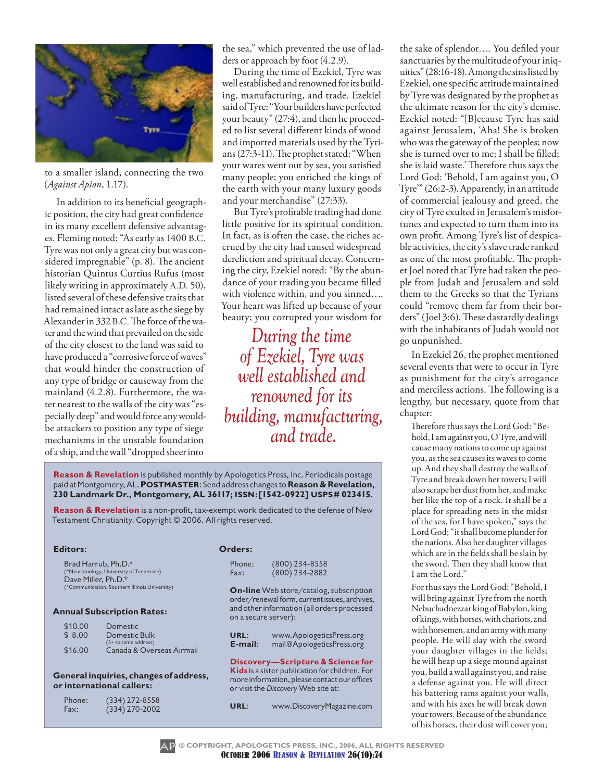

to a smaller island, connecting the two (*Against Apion*, 1.17).

In addition to its beneficial geographic position, the city had great confidence in its many excellent defensive advantages. Fleming noted: "As early as 1400 B.C. Tyre was not only a great city but was considered impregnable" (p. 8). The ancient historian Quintus Curtius Rufus (most likely writing in approximately A.D. 50), listed several of these defensive traits that had remained intact as late as the siege by Alexander in 332 B.C. The force of the water and the wind that prevailed on the side of the city closest to the land was said to have produced a "corrosive force of waves" that would hinder the construction of any type of bridge or causeway from the mainland (4.2.8). Furthermore, the water nearest to the walls of the city was "especially deep" and would force any wouldbe attackers to position any type of siege mechanisms in the unstable foundation of a ship, and the wall "dropped sheer into

the sea," which prevented the use of ladders or approach by foot (4.2.9).

During the time of Ezekiel, Tyre was well established and renowned for its building, manufacturing, and trade. Ezekiel said of Tyre: "Your builders have perfected your beauty" (27:4), and then he proceeded to list several different kinds of wood and imported materials used by the Tyrians (27:3-11). The prophet stated: "When your wares went out by sea, you satisfied many people; you enriched the kings of the earth with your many luxury goods and your merchandise" (27:33).

But Tyre's profitable trading had done little positive for its spiritual condition. In fact, as is often the case, the riches accrued by the city had caused widespread dereliction and spiritual decay. Concerning the city, Ezekiel noted: "By the abundance of your trading you became filled with violence within, and you sinned…. Your heart was lifted up because of your beauty; you corrupted your wisdom for

*During the time of Ezekiel, Tyre was well established and renowned for its building, manufacturing, and trade.*

**Reason & Revelation** is published monthly by Apologetics Press, Inc. Periodicals postage paid at Montgomery, AL. **Postmaster**: Send address changes to **Reason & Revelation, 230 Landmark Dr., Montgomery, AL 36117; issn:[1542-0922] usps# 023415**.

**Reason & Revelation** is a non-profit, tax-exempt work dedicated to the defense of New Testament Christianity. Copyright © 2006. All rights reserved.

#### **Editors**:

Brad Harrub, Ph.D.\* (\*Neurobiology, University of Tennessee) Dave Miller,  $Ph.D.*$ <br>
(\*Communication, Southern) munication, Southern Illinois University)

#### **Annual Subscription Rates:**

| \$10.00 | Domestic                  |
|---------|---------------------------|
| \$8.00  | Domestic Bulk             |
|         | $(5 + to same address)$   |
| \$16.00 | Canada & Overseas Airmail |

#### **General inquiries, changes of address, or international callers:**

| Phone: | $(334)$ 272-8558 |
|--------|------------------|
| Fax:   | $(334)$ 270-2002 |

|  | rder | . .<br>-- |
|--|------|-----------|
|--|------|-----------|

| Phone: | $(800)$ 234-8558 |
|--------|------------------|
| Fax:   | $(800)$ 234-2882 |

**On-line** Web store/catalog, subscription order/renewal form, current issues, archives, and other information (all orders processed on a secure server):

**URL:** www.ApologeticsPress.org<br>**F-mail:** mail@ApologeticsPress.org **E-mail**: mail@ApologeticsPress.org

**Discovery—Scripture & Science for Kids** is a sister publication for children. For more information, please contact our offices or visit the *Discovery* Web site at:

**url**: www.DiscoveryMagazine.com

the sake of splendor…. You defiled your sanctuaries by the multitude of your iniquities" (28:16-18). Among the sins listed by Ezekiel, one specific attitude maintained by Tyre was designated by the prophet as the ultimate reason for the city's demise. Ezekiel noted: "[B]ecause Tyre has said against Jerusalem, 'Aha! She is broken who was the gateway of the peoples; now she is turned over to me; I shall be filled; she is laid waste.' Therefore thus says the Lord God: 'Behold, I am against you, O Tyre'" (26:2-3). Apparently, in an attitude of commercial jealousy and greed, the city of Tyre exulted in Jerusalem's misfortunes and expected to turn them into its own profit. Among Tyre's list of despicable activities, the city's slave trade ranked as one of the most profitable. The prophet Joel noted that Tyre had taken the people from Judah and Jerusalem and sold them to the Greeks so that the Tyrians could "remove them far from their borders" (Joel 3:6). These dastardly dealings with the inhabitants of Judah would not go unpunished.

In Ezekiel 26, the prophet mentioned several events that were to occur in Tyre as punishment for the city's arrogance and merciless actions. The following is a lengthy, but necessary, quote from that chapter:

Therefore thus says the Lord God: "Behold, I am against you, O Tyre, and will cause many nations to come up against you, as the sea causes its waves to come up. And they shall destroy the walls of Tyre and break down her towers; I will also scrape her dust from her, and make her like the top of a rock. It shall be a place for spreading nets in the midst of the sea, for I have spoken," says the Lord God; "it shall become plunder for the nations. Also her daughter villages which are in the fields shall be slain by the sword. Then they shall know that I am the Lord."

For thus says the Lord God: "Behold, I will bring against Tyre from the north Nebuchadnezzar king of Babylon, king of kings, with horses, with chariots, and with horsemen, and an army with many people. He will slay with the sword your daughter villages in the fields; he will heap up a siege mound against you, build a wall against you, and raise a defense against you. He will direct his battering rams against your walls, and with his axes he will break down your towers. Because of the abundance of his horses, their dust will cover you;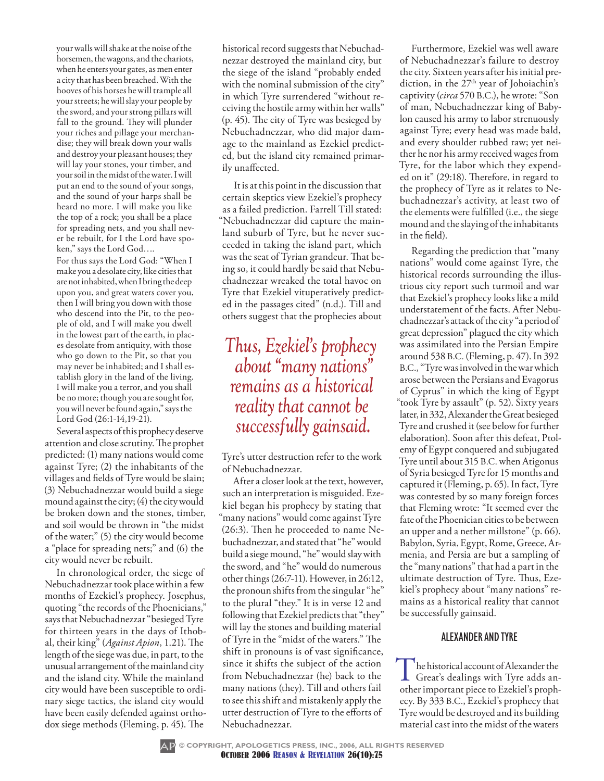your walls will shake at the noise of the horsemen, the wagons, and the chariots, when he enters your gates, as men enter a city that has been breached. With the hooves of his horses he will trample all your streets; he will slay your people by the sword, and your strong pillars will fall to the ground. They will plunder your riches and pillage your merchandise; they will break down your walls and destroy your pleasant houses; they will lay your stones, your timber, and your soil in the midst of the water. I will put an end to the sound of your songs, and the sound of your harps shall be heard no more. I will make you like the top of a rock; you shall be a place for spreading nets, and you shall never be rebuilt, for I the Lord have spoken," says the Lord God….

For thus says the Lord God: "When I make you a desolate city, like cities that are not inhabited, when I bring the deep upon you, and great waters cover you, then I will bring you down with those who descend into the Pit, to the people of old, and I will make you dwell in the lowest part of the earth, in places desolate from antiquity, with those who go down to the Pit, so that you may never be inhabited; and I shall establish glory in the land of the living. I will make you a terror, and you shall be no more; though you are sought for, you will never be found again," says the Lord God (26:1-14,19-21).

Several aspects of this prophecy deserve attention and close scrutiny. The prophet predicted: (1) many nations would come against Tyre; (2) the inhabitants of the villages and fields of Tyre would be slain; (3) Nebuchadnezzar would build a siege mound against the city; (4) the city would be broken down and the stones, timber, and soil would be thrown in "the midst of the water;" (5) the city would become a "place for spreading nets;" and (6) the city would never be rebuilt.

In chronological order, the siege of Nebuchadnezzar took place within a few months of Ezekiel's prophecy. Josephus, quoting "the records of the Phoenicians," says that Nebuchadnezzar "besieged Tyre for thirteen years in the days of Ithobal, their king" (*Against Apion*, 1.21). The length of the siege was due, in part, to the unusual arrangement of the mainland city and the island city. While the mainland city would have been susceptible to ordinary siege tactics, the island city would have been easily defended against orthodox siege methods (Fleming, p. 45). The

historical record suggests that Nebuchadnezzar destroyed the mainland city, but the siege of the island "probably ended with the nominal submission of the city" in which Tyre surrendered "without receiving the hostile army within her walls" (p. 45). The city of Tyre was besieged by Nebuchadnezzar, who did major damage to the mainland as Ezekiel predicted, but the island city remained primarily unaffected.

It is at this point in the discussion that certain skeptics view Ezekiel's prophecy as a failed prediction. Farrell Till stated: "Nebuchadnezzar did capture the mainland suburb of Tyre, but he never succeeded in taking the island part, which was the seat of Tyrian grandeur. That being so, it could hardly be said that Nebuchadnezzar wreaked the total havoc on Tyre that Ezekiel vituperatively predicted in the passages cited" (n.d.). Till and others suggest that the prophecies about

## *Thus, Ezekiel's prophecy about "many nations" remains as a historical reality that cannot be successfully gainsaid.*

Tyre's utter destruction refer to the work of Nebuchadnezzar.

After a closer look at the text, however, such an interpretation is misguided. Ezekiel began his prophecy by stating that "many nations" would come against Tyre (26:3). Then he proceeded to name Nebuchadnezzar, and stated that "he" would build a siege mound, "he" would slay with the sword, and "he" would do numerous other things (26:7-11). However, in 26:12, the pronoun shifts from the singular "he" to the plural "they." It is in verse 12 and following that Ezekiel predicts that "they" will lay the stones and building material of Tyre in the "midst of the waters." The shift in pronouns is of vast significance, since it shifts the subject of the action from Nebuchadnezzar (he) back to the many nations (they). Till and others fail to see this shift and mistakenly apply the utter destruction of Tyre to the efforts of Nebuchadnezzar.

Furthermore, Ezekiel was well aware of Nebuchadnezzar's failure to destroy the city. Sixteen years after his initial prediction, in the 27<sup>th</sup> year of Johoiachin's captivity (*circa* 570 B.C.), he wrote: "Son of man, Nebuchadnezzar king of Babylon caused his army to labor strenuously against Tyre; every head was made bald, and every shoulder rubbed raw; yet neither he nor his army received wages from Tyre, for the labor which they expended on it" (29:18). Therefore, in regard to the prophecy of Tyre as it relates to Nebuchadnezzar's activity, at least two of the elements were fulfilled (i.e., the siege mound and the slaying of the inhabitants in the field).

Regarding the prediction that "many nations" would come against Tyre, the historical records surrounding the illustrious city report such turmoil and war that Ezekiel's prophecy looks like a mild understatement of the facts. After Nebuchadnezzar's attack of the city "a period of great depression" plagued the city which was assimilated into the Persian Empire around 538 B.C. (Fleming, p. 47). In 392 B.C., "Tyre was involved in the war which arose between the Persians and Evagorus of Cyprus" in which the king of Egypt "took Tyre by assault" (p. 52). Sixty years later, in 332, Alexander the Great besieged Tyre and crushed it (see below for further elaboration). Soon after this defeat, Ptolemy of Egypt conquered and subjugated Tyre until about 315 B.C.when Atigonus of Syria besieged Tyre for 15 months and captured it (Fleming, p. 65). In fact, Tyre was contested by so many foreign forces that Fleming wrote: "It seemed ever the fate of the Phoenician cities to be between an upper and a nether millstone" (p. 66). Babylon, Syria, Egypt, Rome, Greece, Armenia, and Persia are but a sampling of the "many nations" that had a part in the ultimate destruction of Tyre. Thus, Ezekiel's prophecy about "many nations" remains as a historical reality that cannot be successfully gainsaid.

#### Alexander And Tyre

The historical account of Alexander the<br>Great's dealings with Tyre adds an-<br>other important piece to English's proph other important piece to Ezekiel's prophecy. By 333 B.C., Ezekiel's prophecy that Tyre would be destroyed and its building material cast into the midst of the waters

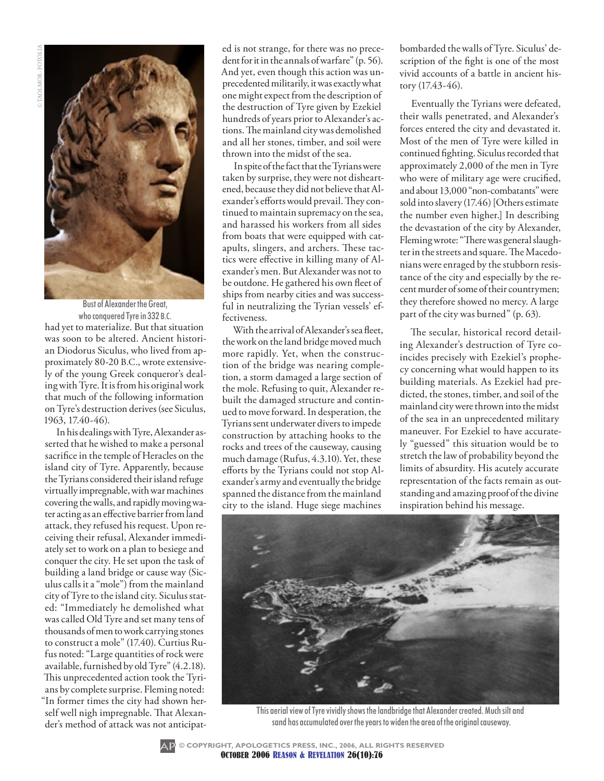

had yet to materialize. But that situation was soon to be altered. Ancient historian Diodorus Siculus, who lived from approximately 80-20 B.C., wrote extensively of the young Greek conqueror's dealing with Tyre. It is from his original work that much of the following information on Tyre's destruction derives (see Siculus, 1963, 17.40-46). Bust of Alexander the Great, who conquered Tyre in 332 B.C.

In his dealings with Tyre, Alexander asserted that he wished to make a personal sacrifice in the temple of Heracles on the island city of Tyre. Apparently, because the Tyrians considered their island refuge virtually impregnable, with war machines covering the walls, and rapidly moving water acting as an effective barrier from land attack, they refused his request. Upon receiving their refusal, Alexander immediately set to work on a plan to besiege and conquer the city. He set upon the task of building a land bridge or cause way (Siculus calls it a "mole") from the mainland city of Tyre to the island city. Siculus stated: "Immediately he demolished what was called Old Tyre and set many tens of thousands of men to work carrying stones to construct a mole" (17.40). Curtius Rufus noted: "Large quantities of rock were available, furnished by old Tyre" (4.2.18). This unprecedented action took the Tyrians by complete surprise. Fleming noted: "In former times the city had shown herself well nigh impregnable. That Alexander's method of attack was not anticipat-

ed is not strange, for there was no precedent for it in the annals of warfare" (p. 56). And yet, even though this action was unprecedented militarily, it was exactly what one might expect from the description of the destruction of Tyre given by Ezekiel hundreds of years prior to Alexander's actions. The mainland city was demolished and all her stones, timber, and soil were thrown into the midst of the sea.

In spite of the fact that the Tyrians were taken by surprise, they were not disheartened, because they did not believe that Alexander's efforts would prevail. They continued to maintain supremacy on the sea, and harassed his workers from all sides from boats that were equipped with catapults, slingers, and archers. These tactics were effective in killing many of Alexander's men. But Alexander was not to be outdone. He gathered his own fleet of ships from nearby cities and was successful in neutralizing the Tyrian vessels' effectiveness.

With the arrival of Alexander's sea fleet, the work on the land bridge moved much more rapidly. Yet, when the construction of the bridge was nearing completion, a storm damaged a large section of the mole. Refusing to quit, Alexander rebuilt the damaged structure and continued to move forward. In desperation, the Tyrians sent underwater divers to impede construction by attaching hooks to the rocks and trees of the causeway, causing much damage (Rufus, 4.3.10). Yet, these efforts by the Tyrians could not stop Alexander's army and eventually the bridge spanned the distance from the mainland city to the island. Huge siege machines

bombarded the walls of Tyre. Siculus' description of the fight is one of the most vivid accounts of a battle in ancient history (17.43-46).

Eventually the Tyrians were defeated, their walls penetrated, and Alexander's forces entered the city and devastated it. Most of the men of Tyre were killed in continued fighting. Siculus recorded that approximately 2,000 of the men in Tyre who were of military age were crucified, and about 13,000 "non-combatants" were sold into slavery (17.46) [Others estimate the number even higher.] In describing the devastation of the city by Alexander, Fleming wrote: "There was general slaughter in the streets and square. The Macedonians were enraged by the stubborn resistance of the city and especially by the recent murder of some of their countrymen; they therefore showed no mercy. A large part of the city was burned" (p. 63).

The secular, historical record detailing Alexander's destruction of Tyre coincides precisely with Ezekiel's prophecy concerning what would happen to its building materials. As Ezekiel had predicted, the stones, timber, and soil of the mainland city were thrown into the midst of the sea in an unprecedented military maneuver. For Ezekiel to have accurately "guessed" this situation would be to stretch the law of probability beyond the limits of absurdity. His acutely accurate representation of the facts remain as outstanding and amazing proof of the divine inspiration behind his message.



This aerial view of Tyre vividly shows the landbridge that Alexander created. Much silt and sand has accumulated over the years to widen the area of the original causeway.

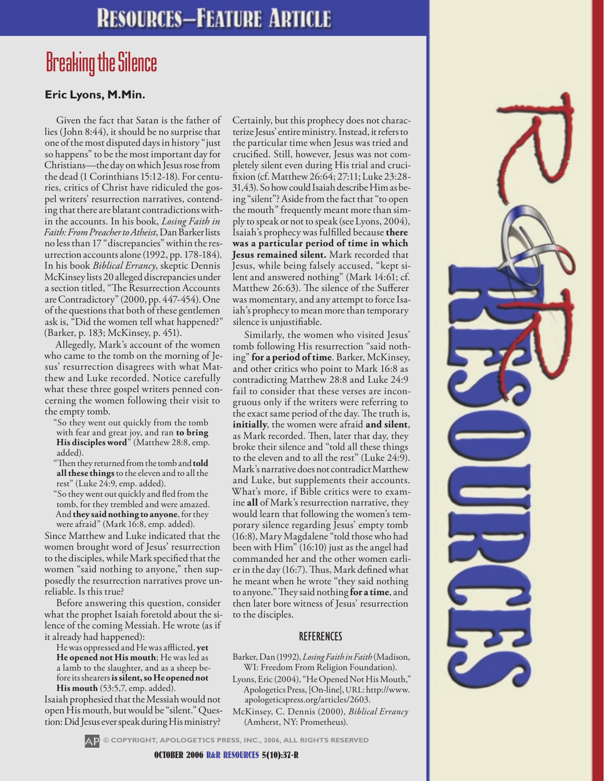# **RESOURCES-FEATURE ARTICLE**

# Breaking the Silence

### **Eric Lyons, M.Min.**

Given the fact that Satan is the father of lies (John 8:44), it should be no surprise that one of the most disputed days in history "just so happens" to be the most important day for Christians—the day on which Jesus rose from the dead (1 Corinthians 15:12-18). For centuries, critics of Christ have ridiculed the gospel writers' resurrection narratives, contending that there are blatant contradictions within the accounts. In his book, *Losing Faith in Faith: From Preacher to Atheist*, Dan Barker lists no less than 17 "discrepancies" within the resurrection accounts alone (1992, pp. 178-184). In his book *Biblical Errancy*, skeptic Dennis McKinsey lists 20 alleged discrepancies under a section titled, "The Resurrection Accounts are Contradictory" (2000, pp. 447-454). One of the questions that both of these gentlemen ask is, "Did the women tell what happened?" (Barker, p. 183; McKinsey, p. 451).

Allegedly, Mark's account of the women who came to the tomb on the morning of Jesus' resurrection disagrees with what Matthew and Luke recorded. Notice carefully what these three gospel writers penned concerning the women following their visit to the empty tomb.

- "So they went out quickly from the tomb with fear and great joy, and ran **to bring His disciples word**" (Matthew 28:8, emp. added).
- "Then they returned from the tomb and **told all these things** to the eleven and to all the rest" (Luke 24:9, emp. added).
- "So they went out quickly and fled from the tomb, for they trembled and were amazed. And **they said nothing to anyone**, for they

were afraid" (Mark 16:8, emp. added). Since Matthew and Luke indicated that the women brought word of Jesus' resurrection to the disciples, while Mark specified that the women "said nothing to anyone," then supposedly the resurrection narratives prove unreliable. Is this true?

Before answering this question, consider what the prophet Isaiah foretold about the silence of the coming Messiah. He wrote (as if it already had happened):

He was oppressed and He was afflicted, **yet He opened not His mouth**; He was led as a lamb to the slaughter, and as a sheep before its shearers is silent, so He opened not **His mouth** (53:5,7, emp. added).

Isaiah prophesied that the Messiah would not open His mouth, but would be "silent." Question: Did Jesus ever speak during His ministry?

Certainly, but this prophecy does not characterize Jesus' entire ministry. Instead, it refers to the particular time when Jesus was tried and crucified. Still, however, Jesus was not completely silent even during His trial and crucifixion (cf. Matthew 26:64; 27:11; Luke 23:28- 31,43). So how could Isaiah describe Him as being "silent"? Aside from the fact that "to open the mouth" frequently meant more than simply to speak or not to speak (see Lyons, 2004), Isaiah's prophecy was fulfilled because **there was a particular period of time in which Jesus remained silent.** Mark recorded that Jesus, while being falsely accused, "kept silent and answered nothing" (Mark 14:61; cf. Matthew 26:63). The silence of the Sufferer was momentary, and any attempt to force Isaiah's prophecy to mean more than temporary silence is unjustifiable.

Similarly, the women who visited Jesus' tomb following His resurrection "said nothing" **for a period of time**. Barker, McKinsey, and other critics who point to Mark 16:8 as contradicting Matthew 28:8 and Luke 24:9 fail to consider that these verses are incongruous only if the writers were referring to the exact same period of the day. The truth is, **initially**, the women were afraid **and silent**, as Mark recorded. Then, later that day, they broke their silence and "told all these things to the eleven and to all the rest" (Luke 24:9). Mark's narrative does not contradict Matthew and Luke, but supplements their accounts. What's more, if Bible critics were to examine **all** of Mark's resurrection narrative, they would learn that following the women's temporary silence regarding Jesus' empty tomb (16:8), Mary Magdalene "told those who had been with Him" (16:10) just as the angel had commanded her and the other women earlier in the day (16:7). Thus, Mark defined what he meant when he wrote "they said nothing to anyone." They said nothing **for a time**, and then later bore witness of Jesus' resurrection to the disciples.

#### **REFERENCES**

- Barker, Dan (1992), *Losing Faith in Faith* (Madison, WI: Freedom From Religion Foundation).
- Lyons, Eric (2004), "He Opened Not His Mouth," Apologetics Press, [On-line], URL: http://www. apologeticspress.org/articles/2603.
- McKinsey, C. Dennis (2000), *Biblical Errancy* (Amherst, NY: Prometheus).

**© COPYRIGHT, APOLOGETICS PRESS, INC., 2006, ALL RIGHTS RESERVED**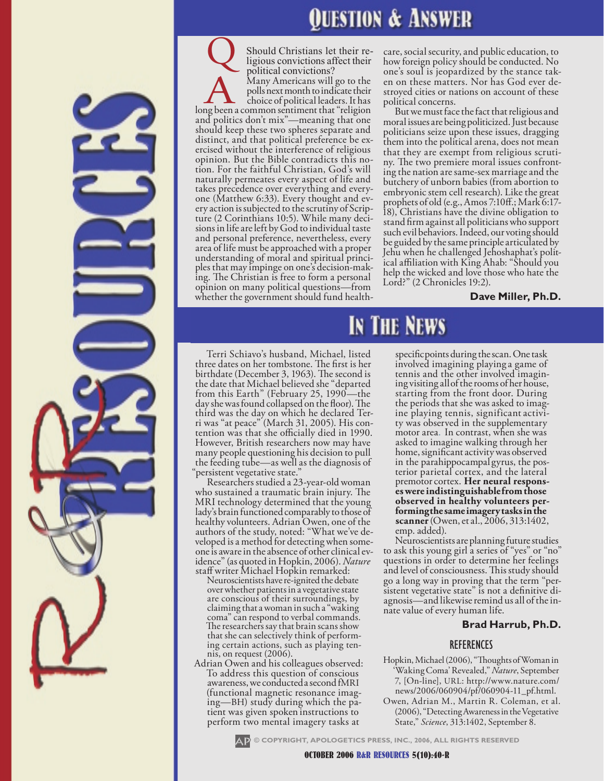# uestion & Answer

IN THE NEWS

Should Christians let their re-<br>ligious convictions affect their political convictions?<br>Many Americans will go to the political convictions?<br>
Many Americans will go to the<br>
polls next month to indicate their<br>
choice of political leaders. It has<br>
long been a common sentiment that "religion polls next month to indicate their and politics don't mix"—meaning that one should keep these two spheres separate and<br>distinct, and that political preference be exercised without the interference of religious opinion. But the Bible contradicts this no- tion. For the faithful Christian, God's will naturally permeates every aspect of life and one (Matthew 6:33). Every thought and every action is subjected to the scrutiny of Scripture (2 Corinthians 10:5). While many decisions in life are left by God to individual taste and personal preference, nevertheless, every area of life must be approached with a proper understanding of moral and spiritual princi- ples that may impinge on one's decision-mak- ing. The Christian is free to form a personal opinion on many political questions—from whether the government should fund health-

care, social security, and public education, to how foreign policy should be conducted. No<br>one's soul is jeopardized by the stance taken on these matters. Nor has God ever de-<br>stroyed cities or nations on account of these<br>political concerns.

political concerns. But we must face the fact that religious and moral issues are being politicized. Just because politicians seize upon these issues, dragging them into the political arena, does not mean<br>that they are exempt from religious scrutiny. The two premiere moral issues confront-<br>ing the nation are same-sex marriage and the butchery of unborn babies (from abortion to embryonic stem cell research). Like the great prophets of old (e.g., Amos 7:10ff.; Mark 6:17- 18), Christians have the divine obligation to stand firm against all politicians who support such evil behaviors. Indeed, our voting should be guided by the same principle articulated by Jehu when he challenged Jehoshaphat's polit- ical affiliation with King Ahab: "Should you help the wicked and love those who hate the Lord?" (2 Chronicles 19:2).

#### **Dave Miller, Ph.D.**

Terri Schiavo's husband, Michael, listed three dates on her tombstone. The first is her birthdate (December 3, 1963). The second is the date that Michael believed she "departed from this Earth" (February 25, 1990—the day she was found collapsed on the floor). The<br>third was the day on which he declared Terri was "at peace" (March 31, 2005). His con-<br>tention was that she officially died in 1990. However, British researchers now may have many people questioning his decision to pull the feeding tube—as well as the diagnosis of

Researchers studied a 23-year-old woman who sustained a traumatic brain injury. The MRI technology determined that the young lady's brain functioned comparably to those of healthy volunteers. Adrian Owen, one of the veloped is a method for detecting when some-<br>one is aware in the absence of other clinical ev-<br>idence" (as quoted in Hopkin, 2006). *Nature*<br>staff writer Michael Hopkin remarked:

Neuroscientists have re-ignited the debate over whether patients in a vegetative state are conscious of their surroundings, by claiming that a woman in such a "waking coma" can respond to verbal commands. The researchers say that brain scans show<br>that she can selectively think of perform-

ing certain actions, such as playing ten-<br>nis, on request (2006).<br>Adrian Owen and his colleagues observed:<br>To address this question of conscious awareness, we conducteda second fMRI ing—BH) study during which the pa-<br>tient was given spoken instructions to perform two mental imagery tasks at

specificpoints during the scan. One task involved imagining playing a game of tennis and the other involved imagin- ing visiting allof the rooms of her house, starting from the front door. During<br>the periods that she was asked to imagine playing tennis, significant activi-<br>ty was observed in the supplementary motor area. In contrast, when she was asked to imagine walking through her home, significant activity was observed<br>in the parahippocampal gyrus, the posterior parietal cortex, and the lateral premotor cortex. **Her neural respons- es were indistinguishablefrom those observed in healthy volunteers per- formingthe same imagery tasks in the scanner** (Owen, et al., 2006, 313:1402,

emp. added).<br>Neuroscientists are planning future studies to ask this young girl a series of "yes" or "no" questions in order to determine her feelings and level of consciousness. This study should sistent vegetative state" is not a definitive di-<br>agnosis—and likewise remind us all of the in-<br>nate value of every human life.

#### **Brad Harrub, Ph.D.**

#### REFERENCES

- Hopkin, Michael (2006), "Thoughts of Woman in 'Waking Coma' Revealed," *Nature*, September 7, [On-line], URL: http://www.nature.com/ news/2006/060904/pf/060904-11\_pf.html.
- Owen, Adrian M., Martin R. Coleman, et al. (2006), "Detecting Awareness in the Vegetative State," *Science*, 313:1402, September 8.



**© COPYRIGHT, APOLOGETICS PRESS, INC., 2006, ALL RIGHTS RESERVED**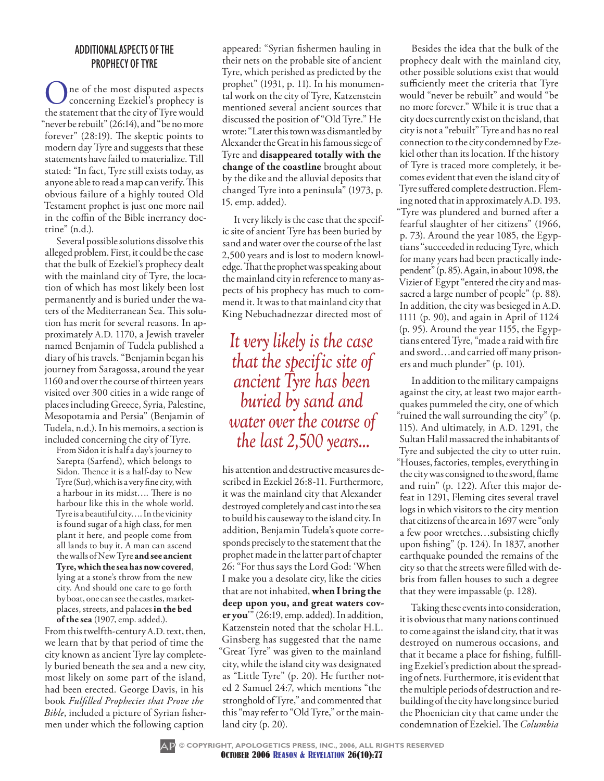#### additional Aspects of the Prophecy of Tyre

ne of the most disputed aspects concerning Ezekiel's prophecy is the statement that the city of Tyre would "never be rebuilt" (26:14), and "be no more forever" (28:19). The skeptic points to modern day Tyre and suggests that these statements have failed to materialize. Till stated: "In fact, Tyre still exists today, as anyone able to read a map can verify. This obvious failure of a highly touted Old Testament prophet is just one more nail in the coffin of the Bible inerrancy doctrine" (n.d.).

Several possible solutions dissolve this alleged problem. First, it could be the case that the bulk of Ezekiel's prophecy dealt with the mainland city of Tyre, the location of which has most likely been lost permanently and is buried under the waters of the Mediterranean Sea. This solution has merit for several reasons. In approximately A.D. 1170, a Jewish traveler named Benjamin of Tudela published a diary of his travels. "Benjamin began his journey from Saragossa, around the year 1160 and over the course of thirteen years visited over 300 cities in a wide range of places including Greece, Syria, Palestine, Mesopotamia and Persia" (Benjamin of Tudela, n.d.). In his memoirs, a section is included concerning the city of Tyre.

From Sidon it is half a day's journey to Sarepta (Sarfend), which belongs to Sidon. Thence it is a half-day to New Tyre (Sur), which is a very fine city, with a harbour in its midst…. There is no harbour like this in the whole world. Tyre is a beautiful city…. In the vicinity is found sugar of a high class, for men plant it here, and people come from all lands to buy it. A man can ascend the walls of New Tyre **and see ancient Tyre, which the sea has now covered**, lying at a stone's throw from the new city. And should one care to go forth by boat, one can see the castles, marketplaces, streets, and palaces **in the bed of the sea** (1907, emp. added.).

From this twelfth-century A.D. text, then, we learn that by that period of time the city known as ancient Tyre lay completely buried beneath the sea and a new city, most likely on some part of the island, had been erected. George Davis, in his book *Fulfilled Prophecies that Prove the Bible*, included a picture of Syrian fishermen under which the following caption

appeared: "Syrian fishermen hauling in their nets on the probable site of ancient Tyre, which perished as predicted by the prophet" (1931, p. 11). In his monumental work on the city of Tyre, Katzenstein mentioned several ancient sources that discussed the position of "Old Tyre." He wrote: "Later this town was dismantled by Alexander the Great in his famous siege of Tyre and **disappeared totally with the change of the coastline** brought about by the dike and the alluvial deposits that changed Tyre into a peninsula" (1973, p. 15, emp. added).

It very likely is the case that the specific site of ancient Tyre has been buried by sand and water over the course of the last 2,500 years and is lost to modern knowledge. That the prophet was speaking about the mainland city in reference to many aspects of his prophecy has much to commend it. It was to that mainland city that King Nebuchadnezzar directed most of

## *It very likely is the case that the specific site of ancient Tyre has been buried by sand and water over the course of the last 2,500 years...*

his attention and destructive measures described in Ezekiel 26:8-11. Furthermore, it was the mainland city that Alexander destroyed completely and cast into the sea to build his causeway to the island city. In addition, Benjamin Tudela's quote corresponds precisely to the statement that the prophet made in the latter part of chapter 26: "For thus says the Lord God: 'When I make you a desolate city, like the cities that are not inhabited, **when I bring the deep upon you, and great waters cover you**'" (26:19, emp. added). In addition, Katzenstein noted that the scholar H.L. Ginsberg has suggested that the name "Great Tyre" was given to the mainland city, while the island city was designated as "Little Tyre" (p. 20). He further noted 2 Samuel 24:7, which mentions "the stronghold of Tyre," and commented that this "may refer to "Old Tyre," or the mainland city (p. 20).

Besides the idea that the bulk of the prophecy dealt with the mainland city, other possible solutions exist that would sufficiently meet the criteria that Tyre would "never be rebuilt" and would "be no more forever." While it is true that a city does currently exist on the island, that city is not a "rebuilt" Tyre and has no real connection to the city condemned by Ezekiel other than its location. If the history of Tyre is traced more completely, it becomes evident that even the island city of Tyre suffered complete destruction. Fleming noted that in approximately A.D. 193. "Tyre was plundered and burned after a fearful slaughter of her citizens" (1966, p. 73). Around the year 1085, the Egyptians "succeeded in reducing Tyre, which for many years had been practically independent" (p. 85). Again, in about 1098, the Vizier of Egypt "entered the city and massacred a large number of people" (p. 88). In addition, the city was besieged in A.D. 1111 (p. 90), and again in April of 1124 (p. 95). Around the year 1155, the Egyptians entered Tyre, "made a raid with fire and sword…and carried off many prisoners and much plunder" (p. 101).

In addition to the military campaigns against the city, at least two major earthquakes pummeled the city, one of which "ruined the wall surrounding the city" (p. 115). And ultimately, in A.D. 1291, the Sultan Halil massacred the inhabitants of Tyre and subjected the city to utter ruin. "Houses, factories, temples, everything in the city was consigned to the sword, flame and ruin" (p. 122). After this major defeat in 1291, Fleming cites several travel logs in which visitors to the city mention that citizens of the area in 1697 were "only a few poor wretches…subsisting chiefly upon fishing" (p. 124). In 1837, another earthquake pounded the remains of the city so that the streets were filled with debris from fallen houses to such a degree that they were impassable (p. 128).

Taking these events into consideration, it is obvious that many nations continued to come against the island city, that it was destroyed on numerous occasions, and that it became a place for fishing, fulfilling Ezekiel's prediction about the spreading of nets. Furthermore, it is evident that the multiple periods of destruction and rebuilding of the city have long since buried the Phoenician city that came under the condemnation of Ezekiel. The *Columbia* 

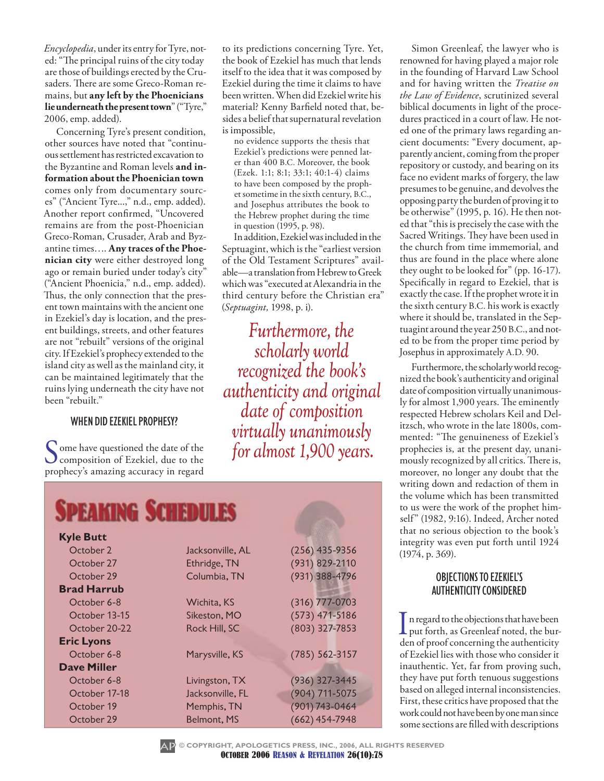*Encyclopedia*, under its entry for Tyre, noted: "The principal ruins of the city today are those of buildings erected by the Crusaders. There are some Greco-Roman remains, but **any left by the Phoenicians lie underneath the present town**" ("Tyre," 2006, emp. added).

Concerning Tyre's present condition, other sources have noted that "continuous settlement has restricted excavation to the Byzantine and Roman levels **and information about the Phoenician town** comes only from documentary sources" ("Ancient Tyre...," n.d., emp. added). Another report confirmed, "Uncovered remains are from the post-Phoenician Greco-Roman, Crusader, Arab and Byzantine times…. **Any traces of the Phoenician city** were either destroyed long ago or remain buried under today's city" ("Ancient Phoenicia," n.d., emp. added). Thus, the only connection that the present town maintains with the ancient one in Ezekiel's day is location, and the present buildings, streets, and other features are not "rebuilt" versions of the original city. If Ezekiel's prophecy extended to the island city as well as the mainland city, it can be maintained legitimately that the ruins lying underneath the city have not been "rebuilt."

#### When Did Ezekiel Prophesy?

Some have questioned the date of the<br>composition of Ezekiel, due to the<br>prophecy's amering acquired in record prophecy's amazing accuracy in regard

to its predictions concerning Tyre. Yet, the book of Ezekiel has much that lends itself to the idea that it was composed by Ezekiel during the time it claims to have been written. When did Ezekiel write his material? Kenny Barfield noted that, besides a belief that supernatural revelation is impossible,

no evidence supports the thesis that Ezekiel's predictions were penned later than 400 B.C. Moreover, the book (Ezek. 1:1; 8:1; 33:1; 40:1-4) claims to have been composed by the prophet sometime in the sixth century, B.C., and Josephus attributes the book to the Hebrew prophet during the time in question (1995, p. 98).

In addition, Ezekiel was included in the Septuagint, which is the "earliest version of the Old Testament Scriptures" available—a translation from Hebrew to Greek which was "executed at Alexandria in the third century before the Christian era" (*Septuagint,* 1998, p. i).

*Furthermore, the scholarly world recognized the book's authenticity and original date of composition virtually unanimously for almost 1,900 years.*

| <b>SPEAKING SCHEDULES</b> |                  |                    |
|---------------------------|------------------|--------------------|
| <b>Kyle Butt</b>          |                  |                    |
| October 2                 | Jacksonville, AL | $(256)$ 435-9356   |
| October 27                | Ethridge, TN     | (931) 829-2110     |
| October 29                | Columbia, TN     | (931) 388-4796     |
| <b>Brad Harrub</b>        |                  |                    |
| October 6-8               | Wichita, KS      | $(316)$ 777-0703   |
| October 13-15             | Sikeston, MO     | $(573)$ 471-5186   |
| October 20-22             | Rock Hill, SC    | (803) 327-7853     |
| <b>Eric Lyons</b>         |                  |                    |
| October 6-8               | Marysville, KS   | $(785) 562 - 3157$ |
| <b>Dave Miller</b>        |                  |                    |
| October 6-8               | Livingston, TX   | (936) 327-3445     |
| October 17-18             | Jacksonville, FL | (904) 711-5075     |
| October 19                | Memphis, TN      | (901) 743-0464     |
| October 29                | Belmont, MS      | $(662)$ 454-7948   |

Simon Greenleaf, the lawyer who is renowned for having played a major role in the founding of Harvard Law School and for having written the *Treatise on the Law of Evidence*, scrutinized several biblical documents in light of the procedures practiced in a court of law. He noted one of the primary laws regarding ancient documents: "Every document, apparently ancient, coming from the proper repository or custody, and bearing on its face no evident marks of forgery, the law presumes to be genuine, and devolves the opposing party the burden of proving it to be otherwise" (1995, p. 16). He then noted that "this is precisely the case with the Sacred Writings. They have been used in the church from time immemorial, and thus are found in the place where alone they ought to be looked for" (pp. 16-17). Specifically in regard to Ezekiel, that is exactly the case. If the prophet wrote it in the sixth century B.C. his work is exactly where it should be, translated in the Septuagint around the year 250 B.C., and noted to be from the proper time period by Josephus in approximately A.D. 90.

Furthermore, the scholarly world recognized the book's authenticity and original date of composition virtually unanimously for almost 1,900 years. The eminently respected Hebrew scholars Keil and Delitzsch, who wrote in the late 1800s, commented: "The genuineness of Ezekiel's prophecies is, at the present day, unanimously recognized by all critics. There is, moreover, no longer any doubt that the writing down and redaction of them in the volume which has been transmitted to us were the work of the prophet himself" (1982, 9:16). Indeed, Archer noted that no serious objection to the book's integrity was even put forth until 1924 (1974, p. 369).

#### Objections to Ezekiel's Authenticity Considered

In regard to the objections that have been put forth, as Greenleaf noted, the burden of proof concerning the authenticity of Ezekiel lies with those who consider it inauthentic. Yet, far from proving such, they have put forth tenuous suggestions based on alleged internal inconsistencies. First, these critics have proposed that the work could not have been by one man since some sections are filled with descriptions

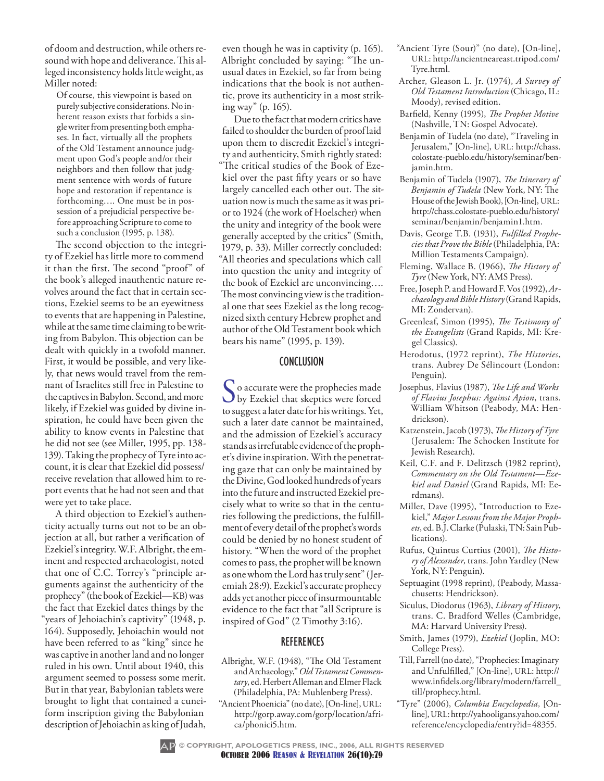of doom and destruction, while others resound with hope and deliverance. This alleged inconsistency holds little weight, as Miller noted:

Of course, this viewpoint is based on purely subjective considerations. No inherent reason exists that forbids a single writer from presenting both emphases. In fact, virtually all the prophets of the Old Testament announce judgment upon God's people and/or their neighbors and then follow that judgment sentence with words of future hope and restoration if repentance is forthcoming…. One must be in possession of a prejudicial perspective before approaching Scripture to come to such a conclusion (1995, p. 138).

The second objection to the integrity of Ezekiel has little more to commend it than the first. The second "proof" of the book's alleged inauthentic nature revolves around the fact that in certain sections, Ezekiel seems to be an eyewitness to events that are happening in Palestine, while at the same time claiming to be writing from Babylon. This objection can be dealt with quickly in a twofold manner. First, it would be possible, and very likely, that news would travel from the remnant of Israelites still free in Palestine to the captives in Babylon. Second, and more likely, if Ezekiel was guided by divine inspiration, he could have been given the ability to know events in Palestine that he did not see (see Miller, 1995, pp. 138- 139). Taking the prophecy of Tyre into account, it is clear that Ezekiel did possess/ receive revelation that allowed him to report events that he had not seen and that were yet to take place.

A third objection to Ezekiel's authenticity actually turns out not to be an objection at all, but rather a verification of Ezekiel's integrity. W.F. Albright, the eminent and respected archaeologist, noted that one of C.C. Torrey's "principle arguments against the authenticity of the prophecy" (the book of Ezekiel—KB) was the fact that Ezekiel dates things by the "years of Jehoiachin's captivity" (1948, p. 164). Supposedly, Jehoiachin would not have been referred to as "king" since he was captive in another land and no longer ruled in his own. Until about 1940, this argument seemed to possess some merit. But in that year, Babylonian tablets were brought to light that contained a cuneiform inscription giving the Babylonian description of Jehoiachin as king of Judah,

even though he was in captivity (p. 165). Albright concluded by saying: "The unusual dates in Ezekiel, so far from being indications that the book is not authentic, prove its authenticity in a most striking way" (p. 165).

Due to the fact that modern critics have failed to shoulder the burden of proof laid upon them to discredit Ezekiel's integrity and authenticity, Smith rightly stated: "The critical studies of the Book of Ezekiel over the past fifty years or so have largely cancelled each other out. The situation now is much the same as it was prior to 1924 (the work of Hoelscher) when the unity and integrity of the book were generally accepted by the critics" (Smith, 1979, p. 33). Miller correctly concluded: "All theories and speculations which call into question the unity and integrity of the book of Ezekiel are unconvincing…. The most convincing view is the traditional one that sees Ezekiel as the long recognized sixth century Hebrew prophet and author of the Old Testament book which bears his name" (1995, p. 139).

#### **CONCLUSION**

So accurate were the prophecies made<br>by Ezekiel that skeptics were forced to suggest a later date for his writings. Yet, such a later date cannot be maintained, and the admission of Ezekiel's accuracy stands as irrefutable evidence of the prophet's divine inspiration. With the penetrating gaze that can only be maintained by the Divine, God looked hundreds of years into the future and instructed Ezekiel precisely what to write so that in the centuries following the predictions, the fulfillment of every detail of the prophet's words could be denied by no honest student of history. "When the word of the prophet comes to pass, the prophet will be known as one whom the Lord has truly sent" (Jeremiah 28:9). Ezekiel's accurate prophecy adds yet another piece of insurmountable evidence to the fact that "all Scripture is inspired of God" (2 Timothy 3:16).

#### **REFERENCES**

- Albright, W.F. (1948), "The Old Testament and Archaeology," *Old Testament Commentary*, ed. Herbert Alleman and Elmer Flack (Philadelphia, PA: Muhlenberg Press).
- "Ancient Phoenicia" (no date), [On-line], URL: http://gorp.away.com/gorp/location/africa/phonici5.htm.
- "Ancient Tyre (Sour)" (no date), [On-line], URL: http://ancientneareast.tripod.com/ Tyre.html.
- Archer, Gleason L. Jr. (1974), *A Survey of Old Testament Introduction* (Chicago, IL: Moody), revised edition.
- Barfield, Kenny (1995), *The Prophet Motive* (Nashville, TN: Gospel Advocate).
- Benjamin of Tudela (no date), "Traveling in Jerusalem," [On-line], URL: http://chass. colostate-pueblo.edu/history/seminar/benjamin.htm.
- Benjamin of Tudela (1907), *The Itinerary of Benjamin of Tudela* (New York, NY: The House of the Jewish Book), [On-line], URL: http://chass.colostate-pueblo.edu/history/ seminar/benjamin/benjamin1.htm.
- Davis, George T.B. (1931), *Fulfilled Prophecies that Prove the Bible* (Philadelphia, PA: Million Testaments Campaign).
- Fleming, Wallace B. (1966), *The History of Tyre* (New York, NY: AMS Press).
- Free, Joseph P. and Howard F. Vos (1992), *Archaeology and Bible History* (Grand Rapids, MI: Zondervan).
- Greenleaf, Simon (1995), *The Testimony of the Evangelists* (Grand Rapids, MI: Kregel Classics).
- Herodotus, (1972 reprint), *The Histories*, trans. Aubrey De Sélincourt (London: Penguin).
- Josephus, Flavius (1987), *The Life and Works of Flavius Josephus: Against Apion*, trans. William Whitson (Peabody, MA: Hendrickson).
- Katzenstein, Jacob (1973), *The History of Tyre* (Jerusalem: The Schocken Institute for Jewish Research).
- Keil, C.F. and F. Delitzsch (1982 reprint), *Commentary on the Old Testament—Ezekiel and Daniel* (Grand Rapids, MI: Eerdmans).
- Miller, Dave (1995), "Introduction to Ezekiel," *Major Lessons from the Major Prophets*, ed. B.J. Clarke (Pulaski, TN: Sain Publications).
- Rufus, Quintus Curtius (2001), *The History of Alexander,* trans.John Yardley (New York, NY: Penguin).
- Septuagint (1998 reprint), (Peabody, Massachusetts: Hendrickson).
- Siculus, Diodorus (1963), *Library of History*, trans. C. Bradford Welles (Cambridge, MA: Harvard University Press).
- Smith, James (1979), *Ezekiel* (Joplin, MO: College Press).
- Till, Farrell (no date), "Prophecies: Imaginary and Unfulfilled," [On-line], URL: http:// www.infidels.org/library/modern/farrell\_ till/prophecy.html.
- "Tyre" (2006), *Columbia Encyclopedia,* [Online], URL: http://yahooligans.yahoo.com/ reference/encyclopedia/entry?id=48355.



October 2006 Reason & Revelation 26(10):79